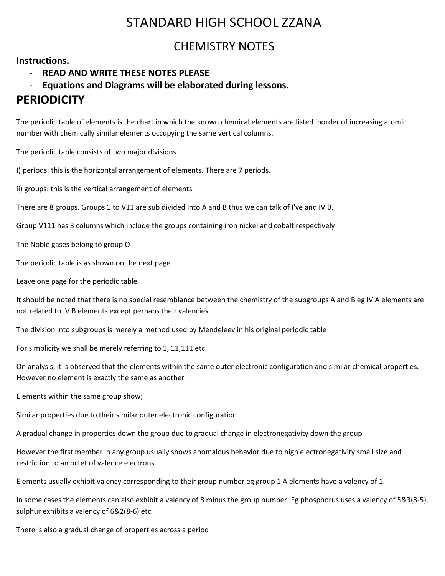# STANDARD HIGH SCHOOL ZZANA

# CHEMISTRY NOTES

## **Instructions.**

- **READ AND WRITE THESE NOTES PLEASE**

## - **Equations and Diagrams will be elaborated during lessons.**

# **PERIODICITY**

The periodic table of elements is the chart in which the known chemical elements are listed inorder of increasing atomic number with chemically similar elements occupying the same vertical columns.

The periodic table consists of two major divisions

I) periods: this is the horizontal arrangement of elements. There are 7 periods.

ii) groups: this is the vertical arrangement of elements

There are 8 groups. Groups 1 to V11 are sub divided into A and B thus we can talk of I've and IV B.

Group V111 has 3 columns which include the groups containing iron nickel and cobalt respectively

The Noble gases belong to group O

The periodic table is as shown on the next page

Leave one page for the periodic table

It should be noted that there is no special resemblance between the chemistry of the subgroups A and B eg IV A elements are not related to IV B elements except perhaps their valencies

The division into subgroups is merely a method used by Mendeleev in his original periodic table

For simplicity we shall be merely referring to 1, 11,111 etc

On analysis, it is observed that the elements within the same outer electronic configuration and similar chemical properties. However no element is exactly the same as another

Elements within the same group show;

Similar properties due to their similar outer electronic configuration

A gradual change in properties down the group due to gradual change in electronegativity down the group

However the first member in any group usually shows anomalous behavior due to high electronegativity small size and restriction to an octet of valence electrons.

Elements usually exhibit valency corresponding to their group number eg group 1 A elements have a valency of 1.

In some cases the elements can also exhibit a valency of 8 minus the group number. Eg phosphorus uses a valency of 5&3(8-5), sulphur exhibits a valency of 6&2(8-6) etc

There is also a gradual change of properties across a period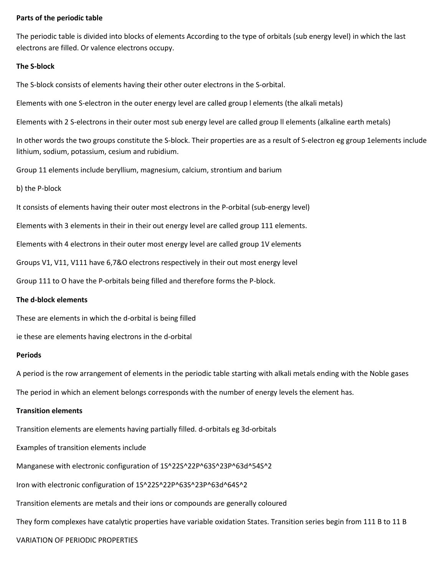#### **Parts of the periodic table**

The periodic table is divided into blocks of elements According to the type of orbitals (sub energy level) in which the last electrons are filled. Or valence electrons occupy.

#### **The S-block**

The S-block consists of elements having their other outer electrons in the S-orbital.

Elements with one S-electron in the outer energy level are called group l elements (the alkali metals)

Elements with 2 S-electrons in their outer most sub energy level are called group ll elements (alkaline earth metals)

In other words the two groups constitute the S-block. Their properties are as a result of S-electron eg group 1elements include lithium, sodium, potassium, cesium and rubidium.

Group 11 elements include beryllium, magnesium, calcium, strontium and barium

b) the P-block

It consists of elements having their outer most electrons in the P-orbital (sub-energy level)

Elements with 3 elements in their in their out energy level are called group 111 elements.

Elements with 4 electrons in their outer most energy level are called group 1V elements

Groups V1, V11, V111 have 6,7&O electrons respectively in their out most energy level

Group 111 to O have the P-orbitals being filled and therefore forms the P-block.

### **The d-block elements**

These are elements in which the d-orbital is being filled

ie these are elements having electrons in the d-orbital

#### **Periods**

A period is the row arrangement of elements in the periodic table starting with alkali metals ending with the Noble gases

The period in which an element belongs corresponds with the number of energy levels the element has.

#### **Transition elements**

Transition elements are elements having partially filled. d-orbitals eg 3d-orbitals

Examples of transition elements include

Manganese with electronic configuration of 1S^22S^22P^63S^23P^63d^54S^2

Iron with electronic configuration of 1S^22S^22P^63S^23P^63d^64S^2

Transition elements are metals and their ions or compounds are generally coloured

They form complexes have catalytic properties have variable oxidation States. Transition series begin from 111 B to 11 B

## VARIATION OF PERIODIC PROPERTIES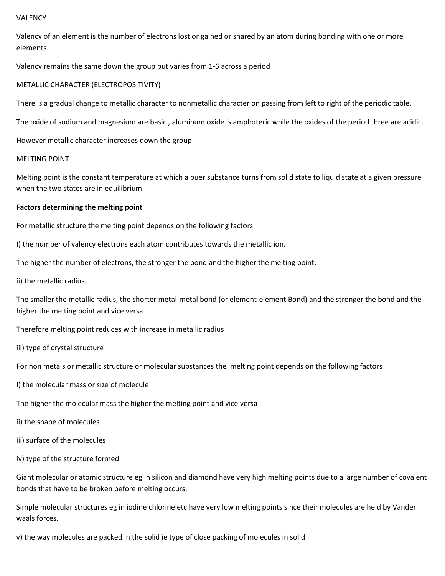#### VALENCY

Valency of an element is the number of electrons lost or gained or shared by an atom during bonding with one or more elements.

Valency remains the same down the group but varies from 1-6 across a period

#### METALLIC CHARACTER (ELECTROPOSITIVITY)

There is a gradual change to metallic character to nonmetallic character on passing from left to right of the periodic table.

The oxide of sodium and magnesium are basic , aluminum oxide is amphoteric while the oxides of the period three are acidic.

However metallic character increases down the group

#### MELTING POINT

Melting point is the constant temperature at which a puer substance turns from solid state to liquid state at a given pressure when the two states are in equilibrium.

#### **Factors determining the melting point**

For metallic structure the melting point depends on the following factors

I) the number of valency electrons each atom contributes towards the metallic ion.

The higher the number of electrons, the stronger the bond and the higher the melting point.

ii) the metallic radius.

The smaller the metallic radius, the shorter metal-metal bond (or element-element Bond) and the stronger the bond and the higher the melting point and vice versa

Therefore melting point reduces with increase in metallic radius

iii) type of crystal structure

For non metals or metallic structure or molecular substances the melting point depends on the following factors

- I) the molecular mass or size of molecule
- The higher the molecular mass the higher the melting point and vice versa
- ii) the shape of molecules
- iii) surface of the molecules
- iv) type of the structure formed

Giant molecular or atomic structure eg in silicon and diamond have very high melting points due to a large number of covalent bonds that have to be broken before melting occurs.

Simple molecular structures eg in iodine chlorine etc have very low melting points since their molecules are held by Vander waals forces.

v) the way molecules are packed in the solid ie type of close packing of molecules in solid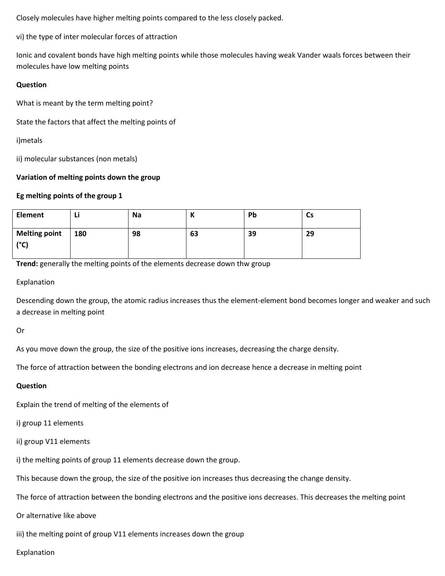Closely molecules have higher melting points compared to the less closely packed.

vi) the type of inter molecular forces of attraction

Ionic and covalent bonds have high melting points while those molecules having weak Vander waals forces between their molecules have low melting points

## **Question**

What is meant by the term melting point?

State the factors that affect the melting points of

i)metals

ii) molecular substances (non metals)

## **Variation of melting points down the group**

## **Eg melting points of the group 1**

| <b>Element</b>               | ы   | <b>Na</b> | N  | Pb | Сs |
|------------------------------|-----|-----------|----|----|----|
| <b>Melting point</b><br>(°C) | 180 | 98        | 63 | 39 | 29 |

**Trend:** generally the melting points of the elements decrease down thw group

Explanation

Descending down the group, the atomic radius increases thus the element-element bond becomes longer and weaker and such a decrease in melting point

Or

As you move down the group, the size of the positive ions increases, decreasing the charge density.

The force of attraction between the bonding electrons and ion decrease hence a decrease in melting point

## **Question**

Explain the trend of melting of the elements of

i) group 11 elements

ii) group V11 elements

i) the melting points of group 11 elements decrease down the group.

This because down the group, the size of the positive ion increases thus decreasing the change density.

The force of attraction between the bonding electrons and the positive ions decreases. This decreases the melting point

Or alternative like above

iii) the melting point of group V11 elements increases down the group

Explanation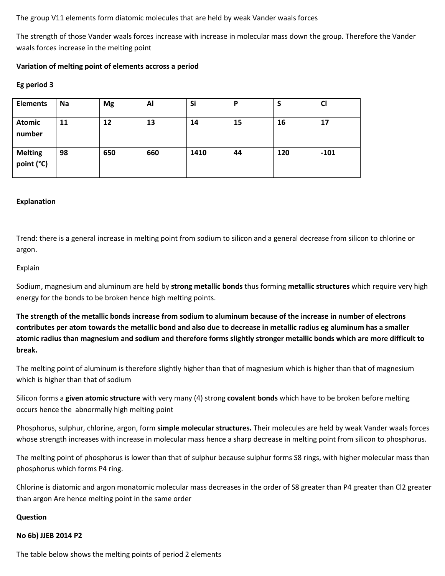The group V11 elements form diatomic molecules that are held by weak Vander waals forces

The strength of those Vander waals forces increase with increase in molecular mass down the group. Therefore the Vander waals forces increase in the melting point

## **Variation of melting point of elements accross a period**

### **Eg period 3**

| <b>Elements</b>              | Na | <b>Mg</b> | Al  | Si   | D  |     | <b>CI</b> |
|------------------------------|----|-----------|-----|------|----|-----|-----------|
| <b>Atomic</b><br>number      | 11 | 12        | 13  | 14   | 15 | 16  | 17        |
| <b>Melting</b><br>point (°C) | 98 | 650       | 660 | 1410 | 44 | 120 | $-101$    |

### **Explanation**

Trend: there is a general increase in melting point from sodium to silicon and a general decrease from silicon to chlorine or argon.

#### Explain

Sodium, magnesium and aluminum are held by **strong metallic bonds** thus forming **metallic structures** which require very high energy for the bonds to be broken hence high melting points.

**The strength of the metallic bonds increase from sodium to aluminum because of the increase in number of electrons contributes per atom towards the metallic bond and also due to decrease in metallic radius eg aluminum has a smaller atomic radius than magnesium and sodium and therefore forms slightly stronger metallic bonds which are more difficult to break.**

The melting point of aluminum is therefore slightly higher than that of magnesium which is higher than that of magnesium which is higher than that of sodium

Silicon forms a **given atomic structure** with very many (4) strong **covalent bonds** which have to be broken before melting occurs hence the abnormally high melting point

Phosphorus, sulphur, chlorine, argon, form **simple molecular structures.** Their molecules are held by weak Vander waals forces whose strength increases with increase in molecular mass hence a sharp decrease in melting point from silicon to phosphorus.

The melting point of phosphorus is lower than that of sulphur because sulphur forms S8 rings, with higher molecular mass than phosphorus which forms P4 ring.

Chlorine is diatomic and argon monatomic molecular mass decreases in the order of S8 greater than P4 greater than Cl2 greater than argon Are hence melting point in the same order

#### **Question**

#### **No 6b) JJEB 2014 P2**

The table below shows the melting points of period 2 elements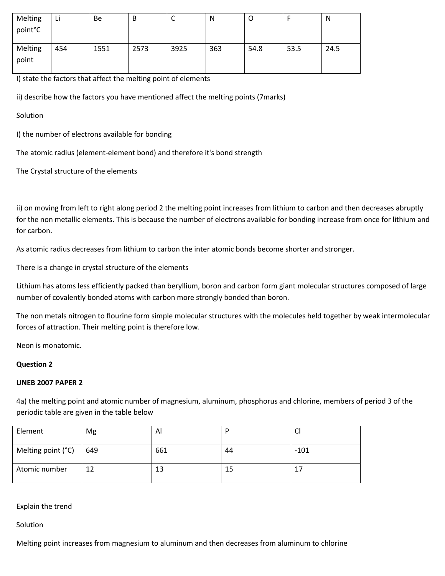| Melting<br>point°C | L)  | <b>Be</b> | B    | ֊    | N   | U    |      | N    |
|--------------------|-----|-----------|------|------|-----|------|------|------|
| Melting<br>point   | 454 | 1551      | 2573 | 3925 | 363 | 54.8 | 53.5 | 24.5 |

I) state the factors that affect the melting point of elements

ii) describe how the factors you have mentioned affect the melting points (7marks)

**Solution** 

I) the number of electrons available for bonding

The atomic radius (element-element bond) and therefore it's bond strength

The Crystal structure of the elements

ii) on moving from left to right along period 2 the melting point increases from lithium to carbon and then decreases abruptly for the non metallic elements. This is because the number of electrons available for bonding increase from once for lithium and for carbon.

As atomic radius decreases from lithium to carbon the inter atomic bonds become shorter and stronger.

There is a change in crystal structure of the elements

Lithium has atoms less efficiently packed than beryllium, boron and carbon form giant molecular structures composed of large number of covalently bonded atoms with carbon more strongly bonded than boron.

The non metals nitrogen to flourine form simple molecular structures with the molecules held together by weak intermolecular forces of attraction. Their melting point is therefore low.

Neon is monatomic.

## **Question 2**

## **UNEB 2007 PAPER 2**

4a) the melting point and atomic number of magnesium, aluminum, phosphorus and chlorine, members of period 3 of the periodic table are given in the table below

| Element            | Mg  | ΑI  |    | ◡      |
|--------------------|-----|-----|----|--------|
| Melting point (°C) | 649 | 661 | 44 | $-101$ |
| Atomic number      | 12  | 13  | 15 |        |

Explain the trend

**Solution** 

Melting point increases from magnesium to aluminum and then decreases from aluminum to chlorine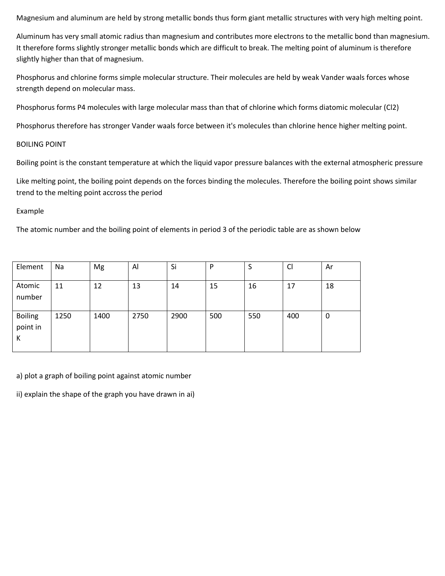Magnesium and aluminum are held by strong metallic bonds thus form giant metallic structures with very high melting point.

Aluminum has very small atomic radius than magnesium and contributes more electrons to the metallic bond than magnesium. It therefore forms slightly stronger metallic bonds which are difficult to break. The melting point of aluminum is therefore slightly higher than that of magnesium.

Phosphorus and chlorine forms simple molecular structure. Their molecules are held by weak Vander waals forces whose strength depend on molecular mass.

Phosphorus forms P4 molecules with large molecular mass than that of chlorine which forms diatomic molecular (Cl2)

Phosphorus therefore has stronger Vander waals force between it's molecules than chlorine hence higher melting point.

### BOILING POINT

Boiling point is the constant temperature at which the liquid vapor pressure balances with the external atmospheric pressure

Like melting point, the boiling point depends on the forces binding the molecules. Therefore the boiling point shows similar trend to the melting point accross the period

### Example

The atomic number and the boiling point of elements in period 3 of the periodic table are as shown below

| Element                         | Na   | Mg   | Al   | Si   | P   | Э   | $\mathsf{C}$ | Ar |
|---------------------------------|------|------|------|------|-----|-----|--------------|----|
| Atomic<br>number                | 11   | 12   | 13   | 14   | 15  | 16  | 17           | 18 |
| <b>Boiling</b><br>point in<br>К | 1250 | 1400 | 2750 | 2900 | 500 | 550 | 400          | 0  |

a) plot a graph of boiling point against atomic number

ii) explain the shape of the graph you have drawn in ai)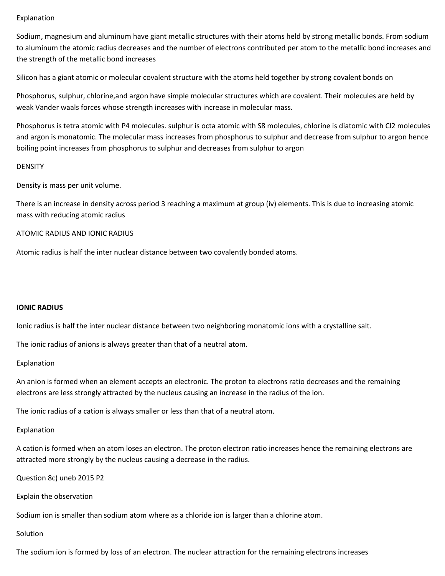## Explanation

Sodium, magnesium and aluminum have giant metallic structures with their atoms held by strong metallic bonds. From sodium to aluminum the atomic radius decreases and the number of electrons contributed per atom to the metallic bond increases and the strength of the metallic bond increases

Silicon has a giant atomic or molecular covalent structure with the atoms held together by strong covalent bonds on

Phosphorus, sulphur, chlorine,and argon have simple molecular structures which are covalent. Their molecules are held by weak Vander waals forces whose strength increases with increase in molecular mass.

Phosphorus is tetra atomic with P4 molecules. sulphur is octa atomic with S8 molecules, chlorine is diatomic with Cl2 molecules and argon is monatomic. The molecular mass increases from phosphorus to sulphur and decrease from sulphur to argon hence boiling point increases from phosphorus to sulphur and decreases from sulphur to argon

#### **DENSITY**

Density is mass per unit volume.

There is an increase in density across period 3 reaching a maximum at group (iv) elements. This is due to increasing atomic mass with reducing atomic radius

### ATOMIC RADIUS AND IONIC RADIUS

Atomic radius is half the inter nuclear distance between two covalently bonded atoms.

#### **IONIC RADIUS**

Ionic radius is half the inter nuclear distance between two neighboring monatomic ions with a crystalline salt.

The ionic radius of anions is always greater than that of a neutral atom.

#### Explanation

An anion is formed when an element accepts an electronic. The proton to electrons ratio decreases and the remaining electrons are less strongly attracted by the nucleus causing an increase in the radius of the ion.

The ionic radius of a cation is always smaller or less than that of a neutral atom.

## Explanation

A cation is formed when an atom loses an electron. The proton electron ratio increases hence the remaining electrons are attracted more strongly by the nucleus causing a decrease in the radius.

Question 8c) uneb 2015 P2

Explain the observation

Sodium ion is smaller than sodium atom where as a chloride ion is larger than a chlorine atom.

#### Solution

The sodium ion is formed by loss of an electron. The nuclear attraction for the remaining electrons increases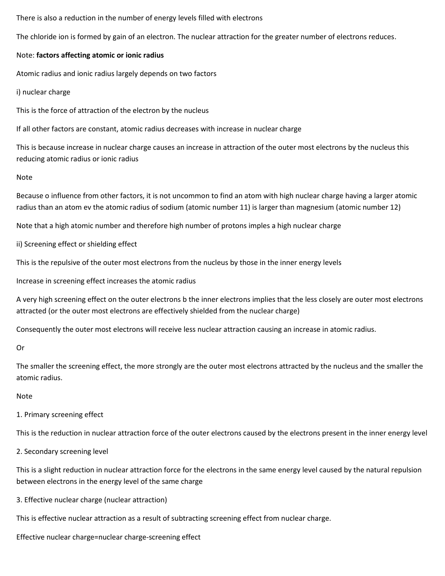There is also a reduction in the number of energy levels filled with electrons

The chloride ion is formed by gain of an electron. The nuclear attraction for the greater number of electrons reduces.

## Note: **factors affecting atomic or ionic radius**

Atomic radius and ionic radius largely depends on two factors

i) nuclear charge

This is the force of attraction of the electron by the nucleus

If all other factors are constant, atomic radius decreases with increase in nuclear charge

This is because increase in nuclear charge causes an increase in attraction of the outer most electrons by the nucleus this reducing atomic radius or ionic radius

### Note

Because o influence from other factors, it is not uncommon to find an atom with high nuclear charge having a larger atomic radius than an atom ev the atomic radius of sodium (atomic number 11) is larger than magnesium (atomic number 12)

Note that a high atomic number and therefore high number of protons imples a high nuclear charge

ii) Screening effect or shielding effect

This is the repulsive of the outer most electrons from the nucleus by those in the inner energy levels

Increase in screening effect increases the atomic radius

A very high screening effect on the outer electrons b the inner electrons implies that the less closely are outer most electrons attracted (or the outer most electrons are effectively shielded from the nuclear charge)

Consequently the outer most electrons will receive less nuclear attraction causing an increase in atomic radius.

Or

The smaller the screening effect, the more strongly are the outer most electrons attracted by the nucleus and the smaller the atomic radius.

## Note

1. Primary screening effect

This is the reduction in nuclear attraction force of the outer electrons caused by the electrons present in the inner energy level

2. Secondary screening level

This is a slight reduction in nuclear attraction force for the electrons in the same energy level caused by the natural repulsion between electrons in the energy level of the same charge

3. Effective nuclear charge (nuclear attraction)

This is effective nuclear attraction as a result of subtracting screening effect from nuclear charge.

Effective nuclear charge=nuclear charge-screening effect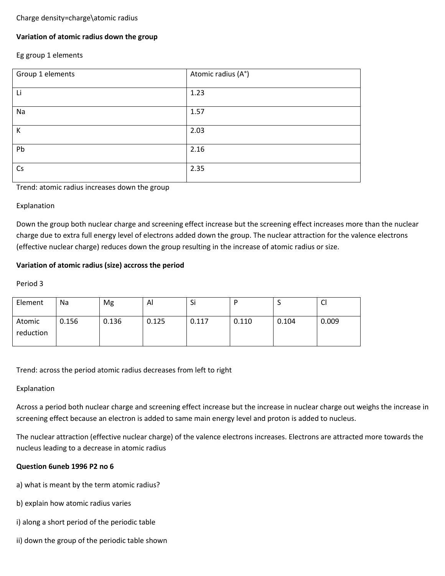## Charge density=charge\atomic radius

## **Variation of atomic radius down the group**

## Eg group 1 elements

| Group 1 elements | Atomic radius (A°) |
|------------------|--------------------|
| Li               | 1.23               |
| Na               | 1.57               |
| К                | 2.03               |
| Pb               | 2.16               |
| Cs               | 2.35               |

Trend: atomic radius increases down the group

## Explanation

Down the group both nuclear charge and screening effect increase but the screening effect increases more than the nuclear charge due to extra full energy level of electrons added down the group. The nuclear attraction for the valence electrons (effective nuclear charge) reduces down the group resulting in the increase of atomic radius or size.

## **Variation of atomic radius (size) accross the period**

## Period 3

| Element             | Na    | Mg    | Al    | Si    |       |       | ∽<br>ິບ |
|---------------------|-------|-------|-------|-------|-------|-------|---------|
| Atomic<br>reduction | 0.156 | 0.136 | 0.125 | 0.117 | 0.110 | 0.104 | 0.009   |

Trend: across the period atomic radius decreases from left to right

## Explanation

Across a period both nuclear charge and screening effect increase but the increase in nuclear charge out weighs the increase in screening effect because an electron is added to same main energy level and proton is added to nucleus.

The nuclear attraction (effective nuclear charge) of the valence electrons increases. Electrons are attracted more towards the nucleus leading to a decrease in atomic radius

## **Question 6uneb 1996 P2 no 6**

- a) what is meant by the term atomic radius?
- b) explain how atomic radius varies
- i) along a short period of the periodic table
- ii) down the group of the periodic table shown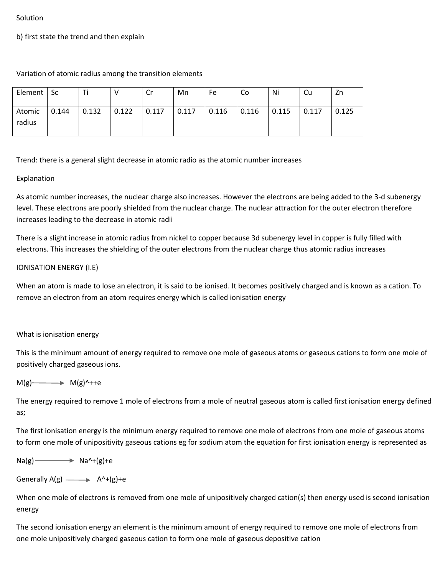#### Solution

b) first state the trend and then explain

Variation of atomic radius among the transition elements

| Element   Sc     |       |       |       | Cr    | Mn    | Fe    | Co    | Ni    | Cu    | Zn    |
|------------------|-------|-------|-------|-------|-------|-------|-------|-------|-------|-------|
| Atomic<br>radius | 0.144 | 0.132 | 0.122 | 0.117 | 0.117 | 0.116 | 0.116 | 0.115 | 0.117 | 0.125 |

Trend: there is a general slight decrease in atomic radio as the atomic number increases

## Explanation

As atomic number increases, the nuclear charge also increases. However the electrons are being added to the 3-d subenergy level. These electrons are poorly shielded from the nuclear charge. The nuclear attraction for the outer electron therefore increases leading to the decrease in atomic radii

There is a slight increase in atomic radius from nickel to copper because 3d subenergy level in copper is fully filled with electrons. This increases the shielding of the outer electrons from the nuclear charge thus atomic radius increases

## IONISATION ENERGY (I.E)

When an atom is made to lose an electron, it is said to be ionised. It becomes positively charged and is known as a cation. To remove an electron from an atom requires energy which is called ionisation energy

## What is ionisation energy

This is the minimum amount of energy required to remove one mole of gaseous atoms or gaseous cations to form one mole of positively charged gaseous ions.

## $M(g)$   $M(g)$ <sup> $\rightarrow$ </sup>  $M(g)$ <sup> $\rightarrow$ </sup>++e

The energy required to remove 1 mole of electrons from a mole of neutral gaseous atom is called first ionisation energy defined as;

The first ionisation energy is the minimum energy required to remove one mole of electrons from one mole of gaseous atoms to form one mole of unipositivity gaseous cations eg for sodium atom the equation for first ionisation energy is represented as

 $Na(g)$   $\longrightarrow$   $Na^4+(g)+e$ 

Generally  $A(g)$   $\longrightarrow$   $A^{\wedge}+(g)+e$ 

When one mole of electrons is removed from one mole of unipositively charged cation(s) then energy used is second ionisation energy

The second ionisation energy an element is the minimum amount of energy required to remove one mole of electrons from one mole unipositively charged gaseous cation to form one mole of gaseous depositive cation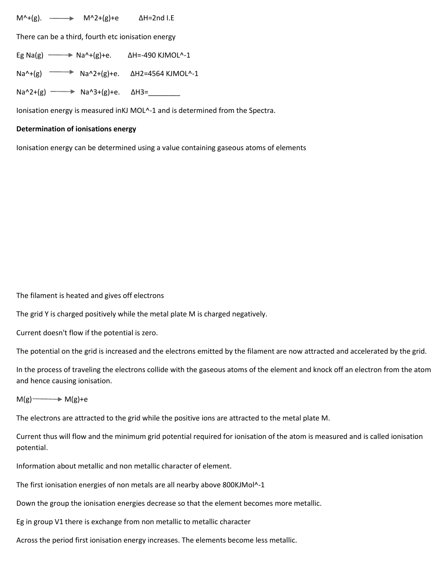$M^4$ +(g).  $\longrightarrow$  M<sup>^2</sup>+(g)+e ΔH=2nd I.E

There can be a third, fourth etc ionisation energy

Eg Na(g)  $\longrightarrow$  Na^+(g)+e.  $\Delta$ H=-490 KJMOL^-1

Na^+(g) Na^2+(g)+e. ∆H2=4564 KJMOL^-1

Na^2+(g) → Na^3+(g)+e. ΔH3=\_\_\_\_\_\_\_\_\_

Ionisation energy is measured inKJ MOL^-1 and is determined from the Spectra.

#### **Determination of ionisations energy**

Ionisation energy can be determined using a value containing gaseous atoms of elements

The filament is heated and gives off electrons

The grid Y is charged positively while the metal plate M is charged negatively.

Current doesn't flow if the potential is zero.

The potential on the grid is increased and the electrons emitted by the filament are now attracted and accelerated by the grid.

In the process of traveling the electrons collide with the gaseous atoms of the element and knock off an electron from the atom and hence causing ionisation.

 $M(g) \longrightarrow M(g)+e$ 

The electrons are attracted to the grid while the positive ions are attracted to the metal plate M.

Current thus will flow and the minimum grid potential required for ionisation of the atom is measured and is called ionisation potential.

Information about metallic and non metallic character of element.

The first ionisation energies of non metals are all nearby above 800KJMol^-1

Down the group the ionisation energies decrease so that the element becomes more metallic.

Eg in group V1 there is exchange from non metallic to metallic character

Across the period first ionisation energy increases. The elements become less metallic.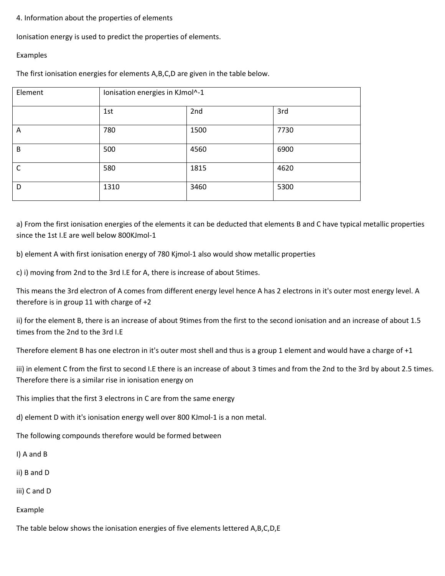## 4. Information about the properties of elements

Ionisation energy is used to predict the properties of elements.

### Examples

The first ionisation energies for elements A,B,C,D are given in the table below.

| Element      | Ionisation energies in KJmol^-1 |      |      |  |  |  |
|--------------|---------------------------------|------|------|--|--|--|
|              | 1st                             | 2nd  | 3rd  |  |  |  |
| A            | 780                             | 1500 | 7730 |  |  |  |
| B            | 500                             | 4560 | 6900 |  |  |  |
| $\mathsf{C}$ | 580                             | 1815 | 4620 |  |  |  |
| D            | 1310                            | 3460 | 5300 |  |  |  |

a) From the first ionisation energies of the elements it can be deducted that elements B and C have typical metallic properties since the 1st I.E are well below 800KJmol-1

b) element A with first ionisation energy of 780 Kjmol-1 also would show metallic properties

c) i) moving from 2nd to the 3rd I.E for A, there is increase of about 5times.

This means the 3rd electron of A comes from different energy level hence A has 2 electrons in it's outer most energy level. A therefore is in group 11 with charge of +2

ii) for the element B, there is an increase of about 9times from the first to the second ionisation and an increase of about 1.5 times from the 2nd to the 3rd I.E

Therefore element B has one electron in it's outer most shell and thus is a group 1 element and would have a charge of +1

iii) in element C from the first to second I.E there is an increase of about 3 times and from the 2nd to the 3rd by about 2.5 times. Therefore there is a similar rise in ionisation energy on

This implies that the first 3 electrons in C are from the same energy

d) element D with it's ionisation energy well over 800 KJmol-1 is a non metal.

The following compounds therefore would be formed between

I) A and B

ii) B and D

iii) C and D

Example

The table below shows the ionisation energies of five elements lettered A,B,C,D,E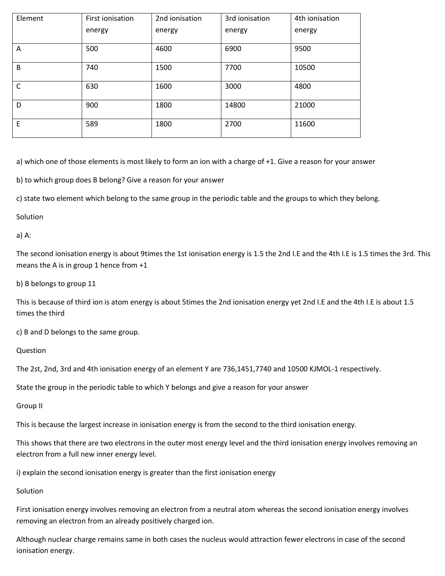| Element | 2nd ionisation<br>First ionisation |        | 3rd ionisation | 4th ionisation |  |
|---------|------------------------------------|--------|----------------|----------------|--|
|         | energy                             | energy | energy         | energy         |  |
| A       | 500                                | 4600   | 6900           | 9500           |  |
| B       | 740                                | 1500   | 7700           | 10500          |  |
| C       | 630                                | 1600   | 3000           | 4800           |  |
| D       | 900                                | 1800   | 14800          | 21000          |  |
| E       | 589                                | 1800   | 2700           | 11600          |  |

a) which one of those elements is most likely to form an ion with a charge of +1. Give a reason for your answer

b) to which group does B belong? Give a reason for your answer

c) state two element which belong to the same group in the periodic table and the groups to which they belong.

**Solution** 

a) A:

The second ionisation energy is about 9times the 1st ionisation energy is 1.5 the 2nd I.E and the 4th I.E is 1.5 times the 3rd. This means the A is in group 1 hence from +1

b) B belongs to group 11

This is because of third ion is atom energy is about 5times the 2nd ionisation energy yet 2nd I.E and the 4th I.E is about 1.5 times the third

c) B and D belongs to the same group.

Question

The 2st, 2nd, 3rd and 4th ionisation energy of an element Y are 736,1451,7740 and 10500 KJMOL-1 respectively.

State the group in the periodic table to which Y belongs and give a reason for your answer

Group II

This is because the largest increase in ionisation energy is from the second to the third ionisation energy.

This shows that there are two electrons in the outer most energy level and the third ionisation energy involves removing an electron from a full new inner energy level.

i) explain the second ionisation energy is greater than the first ionisation energy

**Solution** 

First ionisation energy involves removing an electron from a neutral atom whereas the second ionisation energy involves removing an electron from an already positively charged ion.

Although nuclear charge remains same in both cases the nucleus would attraction fewer electrons in case of the second ionisation energy.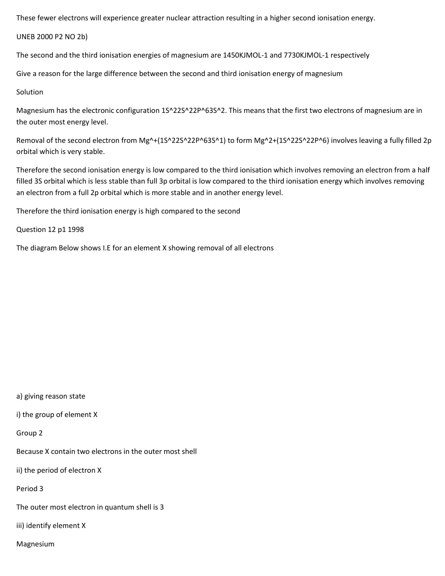These fewer electrons will experience greater nuclear attraction resulting in a higher second ionisation energy.

UNEB 2000 P2 NO 2b)

The second and the third ionisation energies of magnesium are 1450KJMOL-1 and 7730KJMOL-1 respectively

Give a reason for the large difference between the second and third ionisation energy of magnesium

## Solution

Magnesium has the electronic configuration 1S^22S^22P^63S^2. This means that the first two electrons of magnesium are in the outer most energy level.

Removal of the second electron from Mg^+(1S^22S^22P^63S^1) to form Mg^2+(1S^22S^22P^6) involves leaving a fully filled 2p orbital which is very stable.

Therefore the second ionisation energy is low compared to the third ionisation which involves removing an electron from a half filled 3S orbital which is less stable than full 3p orbital is low compared to the third ionisation energy which involves removing an electron from a full 2p orbital which is more stable and in another energy level.

Therefore the third ionisation energy is high compared to the second

Question 12 p1 1998

The diagram Below shows I.E for an element X showing removal of all electrons

a) giving reason state

i) the group of element X

Group 2

Because X contain two electrons in the outer most shell

ii) the period of electron X

Period 3

The outer most electron in quantum shell is 3

iii) identify element X

Magnesium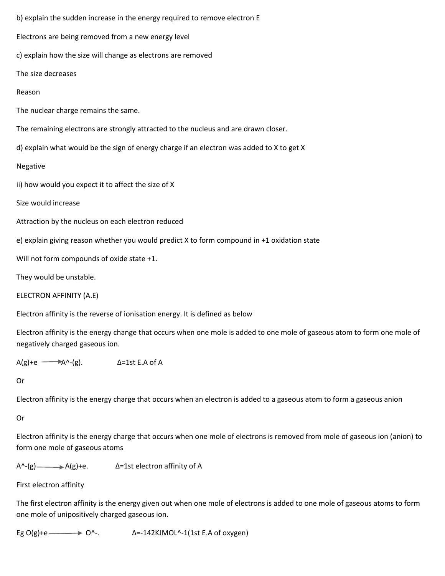b) explain the sudden increase in the energy required to remove electron E Electrons are being removed from a new energy level c) explain how the size will change as electrons are removed The size decreases Reason The nuclear charge remains the same. The remaining electrons are strongly attracted to the nucleus and are drawn closer. d) explain what would be the sign of energy charge if an electron was added to X to get X Negative ii) how would you expect it to affect the size of X Size would increase Attraction by the nucleus on each electron reduced e) explain giving reason whether you would predict X to form compound in +1 oxidation state Will not form compounds of oxide state +1. They would be unstable. ELECTRON AFFINITY (A.E)

Electron affinity is the reverse of ionisation energy. It is defined as below

Electron affinity is the energy change that occurs when one mole is added to one mole of gaseous atom to form one mole of negatively charged gaseous ion.

 $A(g)+e$   $\longrightarrow$   $A^A-(g)$ .  $\Delta=1$ st E.A of A

Or

Electron affinity is the energy charge that occurs when an electron is added to a gaseous atom to form a gaseous anion

Or

Electron affinity is the energy charge that occurs when one mole of electrons is removed from mole of gaseous ion (anion) to form one mole of gaseous atoms

 $A^{\wedge}$ -(g) A(g)+e.  $\Delta$ =1st electron affinity of A

First electron affinity

The first electron affinity is the energy given out when one mole of electrons is added to one mole of gaseous atoms to form one mole of unipositively charged gaseous ion.

Eg O(g)+e  $\longrightarrow$  O^-.  $\Delta$ =-142KJMOL^-1(1st E.A of oxygen)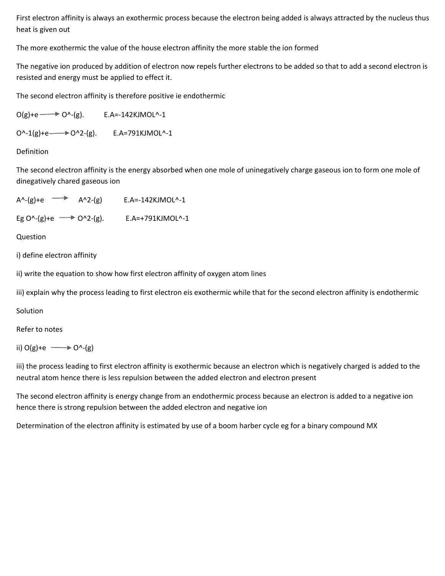First electron affinity is always an exothermic process because the electron being added is always attracted by the nucleus thus heat is given out

The more exothermic the value of the house electron affinity the more stable the ion formed

The negative ion produced by addition of electron now repels further electrons to be added so that to add a second electron is resisted and energy must be applied to effect it.

The second electron affinity is therefore positive ie endothermic

 $O(g)+e \longrightarrow O^(-g).$  E.A=-142KJMOL^-1

O^-1(g)+e → O^2-(g). E.A=791KJMOL^-1

Definition

The second electron affinity is the energy absorbed when one mole of uninegatively charge gaseous ion to form one mole of dinegatively chared gaseous ion

```
A^{\wedge}-(g)+e \longrightarrow A^{\wedge}2-(g) E.A=-142KJMOL^-1
Eg O^(-g) + e \longrightarrow O^2-(g). E.A=+791KJMOL^-1
```
Question

i) define electron affinity

ii) write the equation to show how first electron affinity of oxygen atom lines

iii) explain why the process leading to first electron eis exothermic while that for the second electron affinity is endothermic

**Solution** 

Refer to notes

ii)  $O(g)+e \longrightarrow O^(-g)$ 

iii) the process leading to first electron affinity is exothermic because an electron which is negatively charged is added to the neutral atom hence there is less repulsion between the added electron and electron present

The second electron affinity is energy change from an endothermic process because an electron is added to a negative ion hence there is strong repulsion between the added electron and negative ion

Determination of the electron affinity is estimated by use of a boom harber cycle eg for a binary compound MX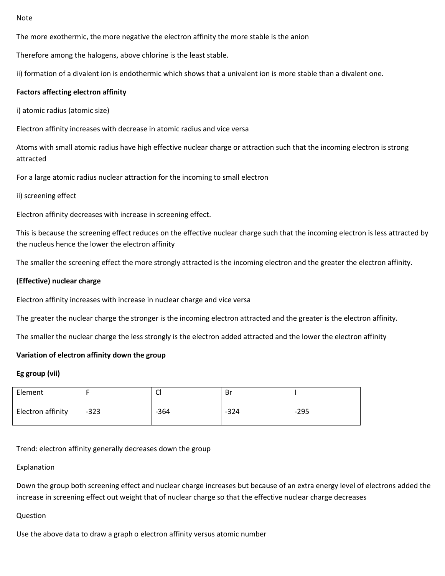#### Note

The more exothermic, the more negative the electron affinity the more stable is the anion

Therefore among the halogens, above chlorine is the least stable.

ii) formation of a divalent ion is endothermic which shows that a univalent ion is more stable than a divalent one.

### **Factors affecting electron affinity**

i) atomic radius (atomic size)

Electron affinity increases with decrease in atomic radius and vice versa

Atoms with small atomic radius have high effective nuclear charge or attraction such that the incoming electron is strong attracted

For a large atomic radius nuclear attraction for the incoming to small electron

#### ii) screening effect

Electron affinity decreases with increase in screening effect.

This is because the screening effect reduces on the effective nuclear charge such that the incoming electron is less attracted by the nucleus hence the lower the electron affinity

The smaller the screening effect the more strongly attracted is the incoming electron and the greater the electron affinity.

#### **(Effective) nuclear charge**

Electron affinity increases with increase in nuclear charge and vice versa

The greater the nuclear charge the stronger is the incoming electron attracted and the greater is the electron affinity.

The smaller the nuclear charge the less strongly is the electron added attracted and the lower the electron affinity

#### **Variation of electron affinity down the group**

#### **Eg group (vii)**

| Element           |        | ັບ     | Br     |        |
|-------------------|--------|--------|--------|--------|
| Electron affinity | $-323$ | $-364$ | $-324$ | $-295$ |

Trend: electron affinity generally decreases down the group

#### Explanation

Down the group both screening effect and nuclear charge increases but because of an extra energy level of electrons added the increase in screening effect out weight that of nuclear charge so that the effective nuclear charge decreases

### Question

Use the above data to draw a graph o electron affinity versus atomic number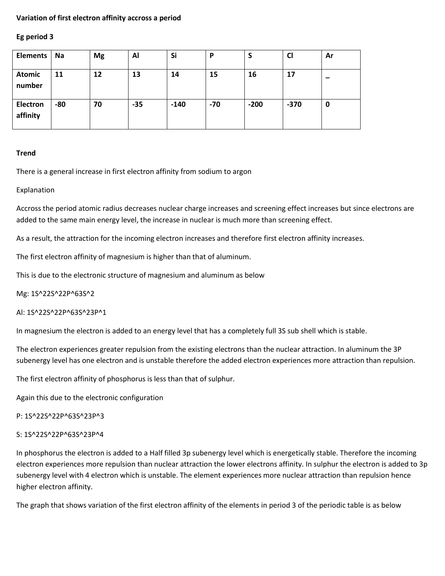## **Variation of first electron affinity accross a period**

#### **Eg period 3**

| <b>Elements</b>             | Na  | <b>Mg</b> | Al    | Si     | P   |        | <b>CI</b> | Ar |
|-----------------------------|-----|-----------|-------|--------|-----|--------|-----------|----|
| <b>Atomic</b><br>number     | 11  | 12        | 13    | 14     | 15  | 16     | 17        |    |
| <b>Electron</b><br>affinity | -80 | 70        | $-35$ | $-140$ | -70 | $-200$ | $-370$    | 0  |

### **Trend**

There is a general increase in first electron affinity from sodium to argon

### Explanation

Accross the period atomic radius decreases nuclear charge increases and screening effect increases but since electrons are added to the same main energy level, the increase in nuclear is much more than screening effect.

As a result, the attraction for the incoming electron increases and therefore first electron affinity increases.

The first electron affinity of magnesium is higher than that of aluminum.

This is due to the electronic structure of magnesium and aluminum as below

Mg: 1S^22S^22P^63S^2

Al: 1S^22S^22P^63S^23P^1

In magnesium the electron is added to an energy level that has a completely full 3S sub shell which is stable.

The electron experiences greater repulsion from the existing electrons than the nuclear attraction. In aluminum the 3P subenergy level has one electron and is unstable therefore the added electron experiences more attraction than repulsion.

The first electron affinity of phosphorus is less than that of sulphur.

Again this due to the electronic configuration

P: 1S^22S^22P^63S^23P^3

#### S: 1S^22S^22P^63S^23P^4

In phosphorus the electron is added to a Half filled 3p subenergy level which is energetically stable. Therefore the incoming electron experiences more repulsion than nuclear attraction the lower electrons affinity. In sulphur the electron is added to 3p subenergy level with 4 electron which is unstable. The element experiences more nuclear attraction than repulsion hence higher electron affinity.

The graph that shows variation of the first electron affinity of the elements in period 3 of the periodic table is as below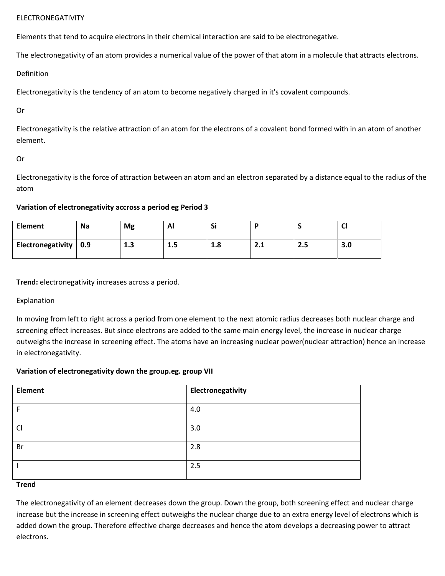## ELECTRONEGATIVITY

Elements that tend to acquire electrons in their chemical interaction are said to be electronegative.

The electronegativity of an atom provides a numerical value of the power of that atom in a molecule that attracts electrons.

Definition

Electronegativity is the tendency of an atom to become negatively charged in it's covalent compounds.

Or

Electronegativity is the relative attraction of an atom for the electrons of a covalent bond formed with in an atom of another element.

## Or

Electronegativity is the force of attraction between an atom and an electron separated by a distance equal to the radius of the atom

## **Variation of electronegativity accross a period eg Period 3**

| <b>Element</b>                | <b>Na</b> | Mg           | ΑI  | Si  |          |     | ີ   |
|-------------------------------|-----------|--------------|-----|-----|----------|-----|-----|
| Electronegativity $\vert$ 0.9 |           | ∍<br>-1<br>ᆦ | כ.ב | 1.8 | –<br>L.L | 2.5 | 3.0 |

**Trend:** electronegativity increases across a period.

## Explanation

In moving from left to right across a period from one element to the next atomic radius decreases both nuclear charge and screening effect increases. But since electrons are added to the same main energy level, the increase in nuclear charge outweighs the increase in screening effect. The atoms have an increasing nuclear power(nuclear attraction) hence an increase in electronegativity.

## **Variation of electronegativity down the group.eg. group VII**

| <b>Element</b> | Electronegativity |
|----------------|-------------------|
| F              | 4.0               |
| Cl             | 3.0               |
| Br             | 2.8               |
|                | 2.5               |

## **Trend**

The electronegativity of an element decreases down the group. Down the group, both screening effect and nuclear charge increase but the increase in screening effect outweighs the nuclear charge due to an extra energy level of electrons which is added down the group. Therefore effective charge decreases and hence the atom develops a decreasing power to attract electrons.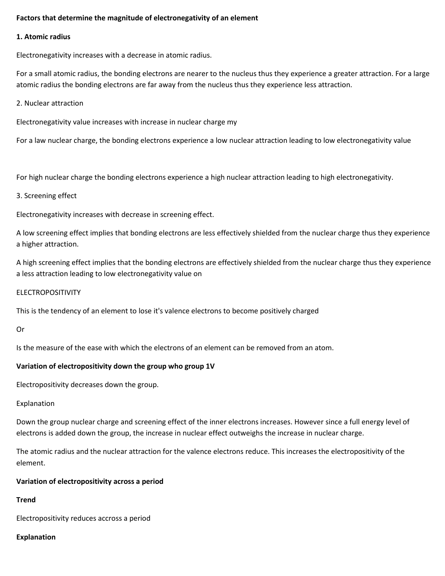## **Factors that determine the magnitude of electronegativity of an element**

#### **1. Atomic radius**

Electronegativity increases with a decrease in atomic radius.

For a small atomic radius, the bonding electrons are nearer to the nucleus thus they experience a greater attraction. For a large atomic radius the bonding electrons are far away from the nucleus thus they experience less attraction.

#### 2. Nuclear attraction

Electronegativity value increases with increase in nuclear charge my

For a law nuclear charge, the bonding electrons experience a low nuclear attraction leading to low electronegativity value

For high nuclear charge the bonding electrons experience a high nuclear attraction leading to high electronegativity.

### 3. Screening effect

Electronegativity increases with decrease in screening effect.

A low screening effect implies that bonding electrons are less effectively shielded from the nuclear charge thus they experience a higher attraction.

A high screening effect implies that the bonding electrons are effectively shielded from the nuclear charge thus they experience a less attraction leading to low electronegativity value on

## ELECTROPOSITIVITY

This is the tendency of an element to lose it's valence electrons to become positively charged

#### Or

Is the measure of the ease with which the electrons of an element can be removed from an atom.

## **Variation of electropositivity down the group who group 1V**

Electropositivity decreases down the group.

Explanation

Down the group nuclear charge and screening effect of the inner electrons increases. However since a full energy level of electrons is added down the group, the increase in nuclear effect outweighs the increase in nuclear charge.

The atomic radius and the nuclear attraction for the valence electrons reduce. This increases the electropositivity of the element.

#### **Variation of electropositivity across a period**

## **Trend**

Electropositivity reduces accross a period

#### **Explanation**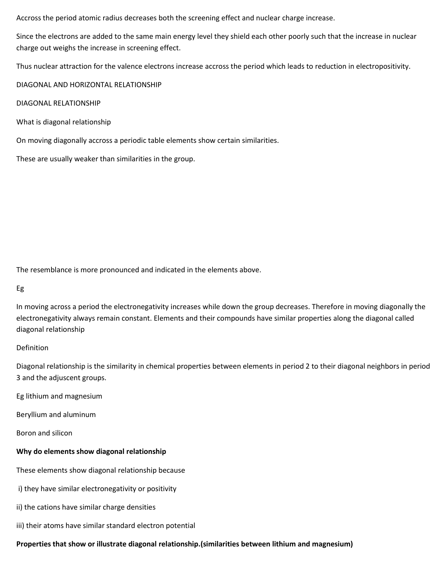Accross the period atomic radius decreases both the screening effect and nuclear charge increase.

Since the electrons are added to the same main energy level they shield each other poorly such that the increase in nuclear charge out weighs the increase in screening effect.

Thus nuclear attraction for the valence electrons increase accross the period which leads to reduction in electropositivity.

DIAGONAL AND HORIZONTAL RELATIONSHIP

DIAGONAL RELATIONSHIP

What is diagonal relationship

On moving diagonally accross a periodic table elements show certain similarities.

These are usually weaker than similarities in the group.

The resemblance is more pronounced and indicated in the elements above.

## Eg

In moving across a period the electronegativity increases while down the group decreases. Therefore in moving diagonally the electronegativity always remain constant. Elements and their compounds have similar properties along the diagonal called diagonal relationship

## Definition

Diagonal relationship is the similarity in chemical properties between elements in period 2 to their diagonal neighbors in period 3 and the adjuscent groups.

Eg lithium and magnesium

Beryllium and aluminum

Boron and silicon

## **Why do elements show diagonal relationship**

These elements show diagonal relationship because

- i) they have similar electronegativity or positivity
- ii) the cations have similar charge densities
- iii) their atoms have similar standard electron potential

## **Properties that show or illustrate diagonal relationship.(similarities between lithium and magnesium)**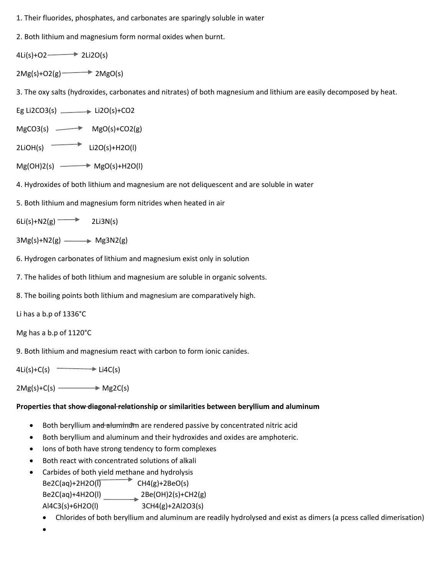- 1. Their fluorides, phosphates, and carbonates are sparingly soluble in water
- 2. Both lithium and magnesium form normal oxides when burnt.
- 4Li(s)+O2  $\longrightarrow$  2Li2O(s)
- $2Mg(s)+O(2g)$   $\longrightarrow$   $2MgO(s)$

3. The oxy salts (hydroxides, carbonates and nitrates) of both magnesium and lithium are easily decomposed by heat.

- Eg Li2CO3(s)  $\longrightarrow$  Li2O(s)+CO2
- $MgCO3(s)$   $\longrightarrow$   $MgO(s)+CO2(g)$
- $2LiOH(s)$  Li2O(s)+H2O(l)
- $Mg(OH)2(s) \longrightarrow MagO(s)+H2O(l)$
- 4. Hydroxides of both lithium and magnesium are not deliquescent and are soluble in water
- 5. Both lithium and magnesium form nitrides when heated in air
- $6Li(s) + N2(g)$  2Li3N(s)
- $3Mg(s)+N2(g)$  Mg3N2(g)
- 6. Hydrogen carbonates of lithium and magnesium exist only in solution
- 7. The halides of both lithium and magnesium are soluble in organic solvents.
- 8. The boiling points both lithium and magnesium are comparatively high.

Li has a b.p of 1336°C

Mg has a b.p of 1120°C

9. Both lithium and magnesium react with carbon to form ionic canides.

 $4Li(s)+C(s)$   $\longrightarrow$  Li4C(s)

 $2Mg(s)+C(s)$  Mg2C(s)

## **Properties that show diagonal relationship or similarities between beryllium and aluminum**

- Both beryllium and aluminum are rendered passive by concentrated nitric acid
- Both beryllium and aluminum and their hydroxides and oxides are amphoteric.
- Ions of both have strong tendency to form complexes
- Both react with concentrated solutions of alkali
- Carbides of both yield methane and hydrolysis  $Be2C(aq)+2H2O(\overline{I})$  CH4(g)+2BeO(s) Be2C(aq)+4H2O(l) 2Be(OH)2(s)+CH2(g) Al4C3(s)+6H2O(l) 3CH4(g)+2Al2O3(s)
	- Chlorides of both beryllium and aluminum are readily hydrolysed and exist as dimers (a pcess called dimerisation)

 $\bullet$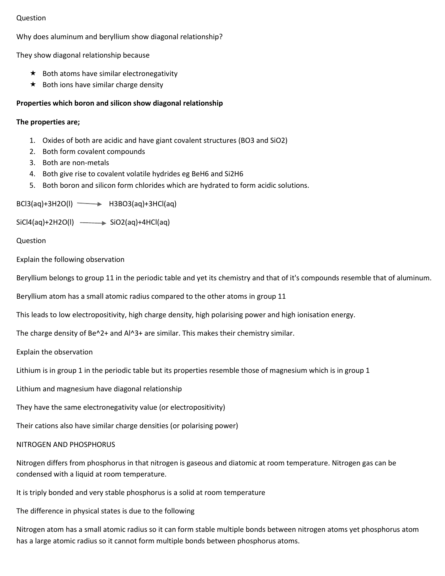## Question

Why does aluminum and beryllium show diagonal relationship?

They show diagonal relationship because

- $\star$  Both atoms have similar electronegativity
- $\star$  Both ions have similar charge density

### **Properties which boron and silicon show diagonal relationship**

#### **The properties are;**

- 1. Oxides of both are acidic and have giant covalent structures (BO3 and SiO2)
- 2. Both form covalent compounds
- 3. Both are non-metals
- 4. Both give rise to covalent volatile hydrides eg BeH6 and Si2H6
- 5. Both boron and silicon form chlorides which are hydrated to form acidic solutions.

 $BCl3(aq)+3H2O(1)$   $\longrightarrow$   $H3BO3(aq)+3HCl(aq)$ 

 $SiCl4(aq)+2H2O(l) \longrightarrow SiO2(aq)+4HCl(aq)$ 

Question

Explain the following observation

Beryllium belongs to group 11 in the periodic table and yet its chemistry and that of it's compounds resemble that of aluminum.

Beryllium atom has a small atomic radius compared to the other atoms in group 11

This leads to low electropositivity, high charge density, high polarising power and high ionisation energy.

The charge density of Be $^{\wedge}2+$  and Al $^{\wedge}3+$  are similar. This makes their chemistry similar.

Explain the observation

Lithium is in group 1 in the periodic table but its properties resemble those of magnesium which is in group 1

Lithium and magnesium have diagonal relationship

They have the same electronegativity value (or electropositivity)

Their cations also have similar charge densities (or polarising power)

#### NITROGEN AND PHOSPHORUS

Nitrogen differs from phosphorus in that nitrogen is gaseous and diatomic at room temperature. Nitrogen gas can be condensed with a liquid at room temperature.

It is triply bonded and very stable phosphorus is a solid at room temperature

The difference in physical states is due to the following

Nitrogen atom has a small atomic radius so it can form stable multiple bonds between nitrogen atoms yet phosphorus atom has a large atomic radius so it cannot form multiple bonds between phosphorus atoms.